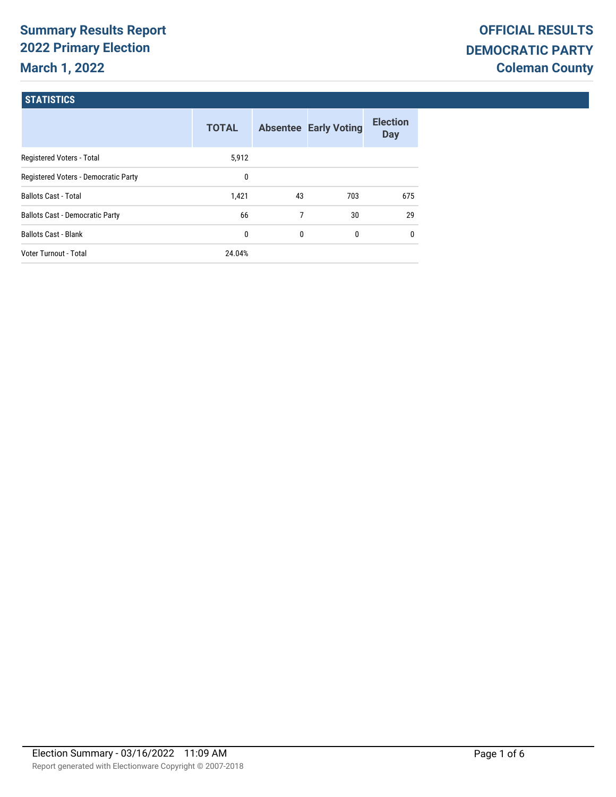# **Summary Results Report 2022 Primary Election March 1, 2022**

#### **STATISTICS**

|                                        | <b>TOTAL</b> |              | <b>Absentee Early Voting</b> | <b>Election</b><br><b>Day</b> |
|----------------------------------------|--------------|--------------|------------------------------|-------------------------------|
| Registered Voters - Total              | 5,912        |              |                              |                               |
| Registered Voters - Democratic Party   | 0            |              |                              |                               |
| <b>Ballots Cast - Total</b>            | 1.421        | 43           | 703                          | 675                           |
| <b>Ballots Cast - Democratic Party</b> | 66           | 7            | 30                           | 29                            |
| <b>Ballots Cast - Blank</b>            | 0            | $\mathbf{0}$ | 0                            | $\mathbf{0}$                  |
| Voter Turnout - Total                  | 24.04%       |              |                              |                               |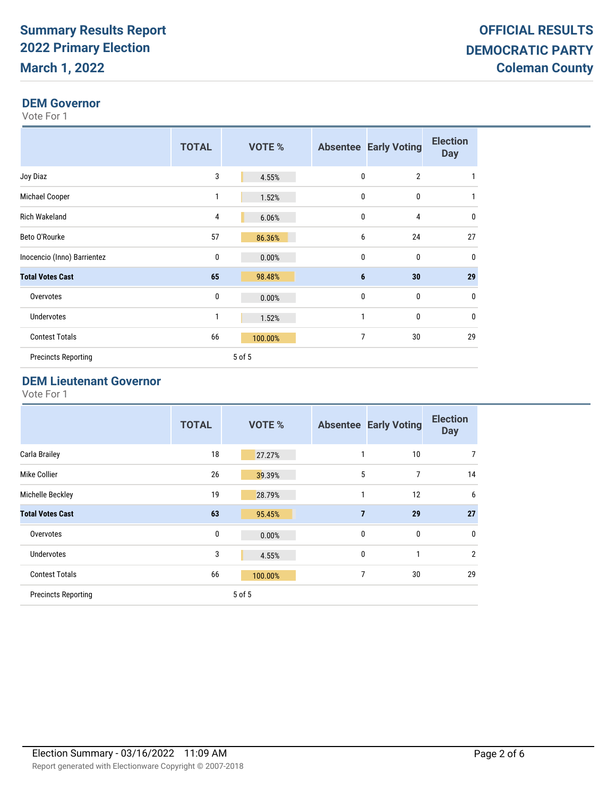#### **DEM Governor**

Vote For 1

|                             | <b>TOTAL</b> | VOTE %  |              | <b>Absentee Early Voting</b> | <b>Election</b><br><b>Day</b> |
|-----------------------------|--------------|---------|--------------|------------------------------|-------------------------------|
| Joy Diaz                    | 3            | 4.55%   | 0            | $\overline{2}$               | 1                             |
| Michael Cooper              | 1            | 1.52%   | $\mathbf{0}$ | $\mathbf{0}$                 | 1                             |
| <b>Rich Wakeland</b>        | 4            | 6.06%   | $\mathbf{0}$ | 4                            | 0                             |
| Beto O'Rourke               | 57           | 86.36%  | 6            | 24                           | 27                            |
| Inocencio (Inno) Barrientez | $\mathbf{0}$ | 0.00%   | $\mathbf{0}$ | $\mathbf 0$                  | 0                             |
| <b>Total Votes Cast</b>     | 65           | 98.48%  | 6            | 30                           | 29                            |
| Overvotes                   | 0            | 0.00%   | 0            | $\mathbf 0$                  | $\mathbf 0$                   |
| <b>Undervotes</b>           | 1            | 1.52%   | 1            | $\mathbf{0}$                 | 0                             |
| <b>Contest Totals</b>       | 66           | 100.00% | 7            | 30                           | 29                            |
| <b>Precincts Reporting</b>  |              | 5 of 5  |              |                              |                               |

#### **DEM Lieutenant Governor**

|                            | <b>TOTAL</b> | <b>VOTE %</b> |                | <b>Absentee Early Voting</b> | <b>Election</b><br><b>Day</b> |
|----------------------------|--------------|---------------|----------------|------------------------------|-------------------------------|
| Carla Brailey              | 18           | 27.27%        | 1              | 10                           | 7                             |
| Mike Collier               | 26           | 39.39%        | 5              | 7                            | 14                            |
| Michelle Beckley           | 19           | 28.79%        | 1              | 12                           | 6                             |
| <b>Total Votes Cast</b>    | 63           | 95.45%        | $\overline{7}$ | 29                           | 27                            |
| Overvotes                  | 0            | 0.00%         | $\mathbf 0$    | $\mathbf 0$                  | 0                             |
| <b>Undervotes</b>          | 3            | 4.55%         | $\mathbf{0}$   | 1                            | $\overline{2}$                |
| <b>Contest Totals</b>      | 66           | 100.00%       | 7              | 30                           | 29                            |
| <b>Precincts Reporting</b> |              | 5 of 5        |                |                              |                               |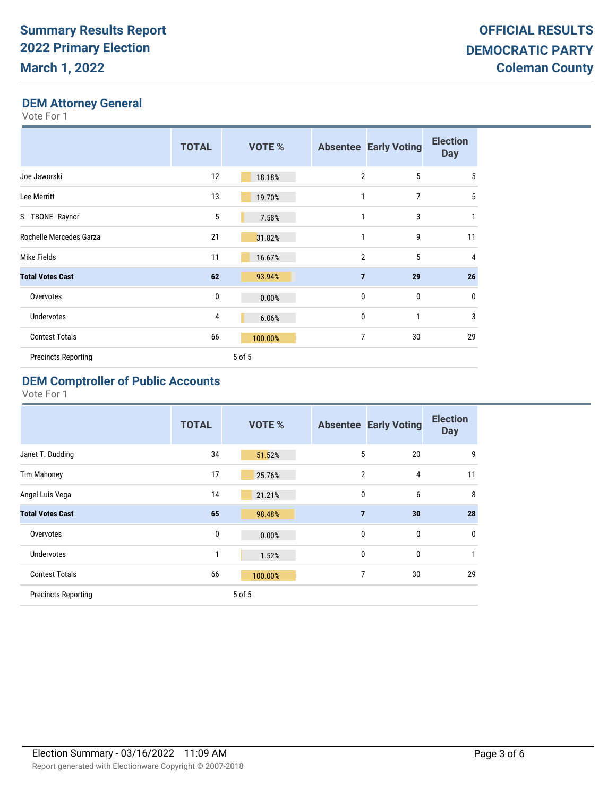### **DEM Attorney General**

Vote For 1

|                            | <b>TOTAL</b> | <b>VOTE %</b> |                | <b>Absentee Early Voting</b> | <b>Election</b><br><b>Day</b> |
|----------------------------|--------------|---------------|----------------|------------------------------|-------------------------------|
| Joe Jaworski               | 12           | 18.18%        | $\overline{2}$ | 5                            | 5                             |
| Lee Merritt                | 13           | 19.70%        |                | $\overline{7}$               | 5                             |
| S. "TBONE" Raynor          | 5            | 7.58%         | 1              | 3                            | 1                             |
| Rochelle Mercedes Garza    | 21           | 31.82%        | $\mathbf{1}$   | 9                            | 11                            |
| Mike Fields                | 11           | 16.67%        | $\overline{2}$ | 5                            | $\overline{4}$                |
| <b>Total Votes Cast</b>    | 62           | 93.94%        | $\overline{7}$ | 29                           | 26                            |
| Overvotes                  | 0            | 0.00%         | 0              | $\mathbf{0}$                 | $\mathbf 0$                   |
| <b>Undervotes</b>          | 4            | 6.06%         | 0              | 1                            | 3                             |
| <b>Contest Totals</b>      | 66           | 100.00%       | 7              | 30                           | 29                            |
| <b>Precincts Reporting</b> |              | 5 of 5        |                |                              |                               |

#### **DEM Comptroller of Public Accounts**

|                            | <b>TOTAL</b> | <b>VOTE %</b> |                | <b>Absentee Early Voting</b> | <b>Election</b><br><b>Day</b> |
|----------------------------|--------------|---------------|----------------|------------------------------|-------------------------------|
| Janet T. Dudding           | 34           | 51.52%        | 5              | 20                           | 9                             |
| <b>Tim Mahoney</b>         | 17           | 25.76%        | $\overline{2}$ | 4                            | 11                            |
| Angel Luis Vega            | 14           | 21.21%        | $\mathbf 0$    | 6                            | 8                             |
| <b>Total Votes Cast</b>    | 65           | 98.48%        | $\overline{7}$ | 30                           | 28                            |
| Overvotes                  | 0            | 0.00%         | $\mathbf{0}$   | 0                            | $\mathbf 0$                   |
| <b>Undervotes</b>          | 1            | 1.52%         | $\mathbf{0}$   | $\mathbf{0}$                 | 1                             |
| <b>Contest Totals</b>      | 66           | 100.00%       | 7              | 30                           | 29                            |
| <b>Precincts Reporting</b> |              | 5 of 5        |                |                              |                               |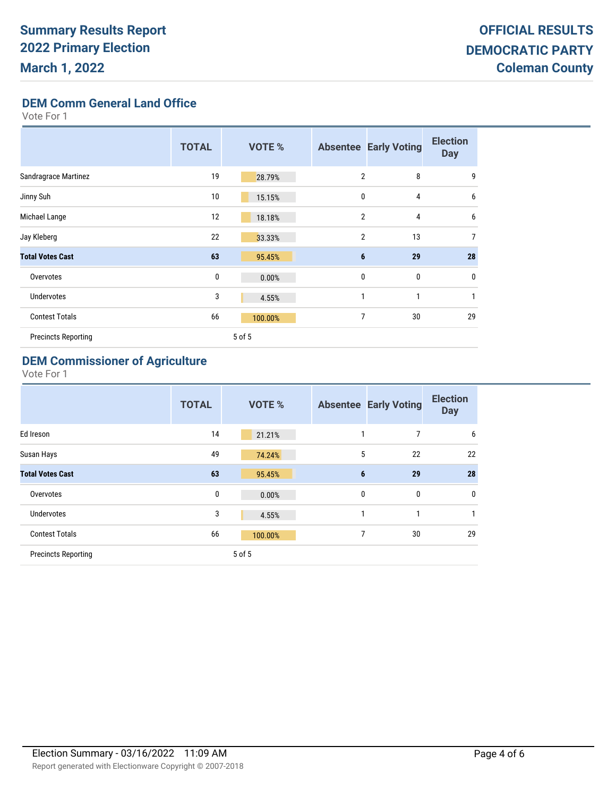**DEM Comm General Land Office**

Vote For 1

|                            | <b>TOTAL</b> | VOTE %  |                | <b>Absentee Early Voting</b> | <b>Election</b><br><b>Day</b> |
|----------------------------|--------------|---------|----------------|------------------------------|-------------------------------|
| Sandragrace Martinez       | 19           | 28.79%  | $\overline{2}$ | 8                            | 9                             |
| Jinny Suh                  | 10           | 15.15%  | 0              | 4                            | 6                             |
| Michael Lange              | 12           | 18.18%  | $\overline{2}$ | 4                            | 6                             |
| Jay Kleberg                | 22           | 33.33%  | $\overline{2}$ | 13                           | 7                             |
| <b>Total Votes Cast</b>    | 63           | 95.45%  | $6\phantom{1}$ | 29                           | 28                            |
| Overvotes                  | 0            | 0.00%   | $\mathbf{0}$   | 0                            | $\mathbf 0$                   |
| <b>Undervotes</b>          | 3            | 4.55%   | 1              | 1                            | 1                             |
| <b>Contest Totals</b>      | 66           | 100.00% | $\overline{7}$ | 30                           | 29                            |
| <b>Precincts Reporting</b> |              | 5 of 5  |                |                              |                               |

### **DEM Commissioner of Agriculture**

|                            | <b>TOTAL</b> | <b>VOTE %</b> |                | <b>Absentee Early Voting</b> | <b>Election</b><br><b>Day</b> |
|----------------------------|--------------|---------------|----------------|------------------------------|-------------------------------|
| Ed Ireson                  | 14           | 21.21%        | 1              | 7                            | 6                             |
| Susan Hays                 | 49           | 74.24%        | 5              | 22                           | 22                            |
| <b>Total Votes Cast</b>    | 63           | 95.45%        | $6\phantom{1}$ | 29                           | 28                            |
| Overvotes                  | 0            | 0.00%         | $\mathbf{0}$   | 0                            | $\mathbf 0$                   |
| Undervotes                 | 3            | 4.55%         | 1              | 1                            | 1                             |
| <b>Contest Totals</b>      | 66           | 100.00%       | 7              | 30                           | 29                            |
| <b>Precincts Reporting</b> |              | 5 of 5        |                |                              |                               |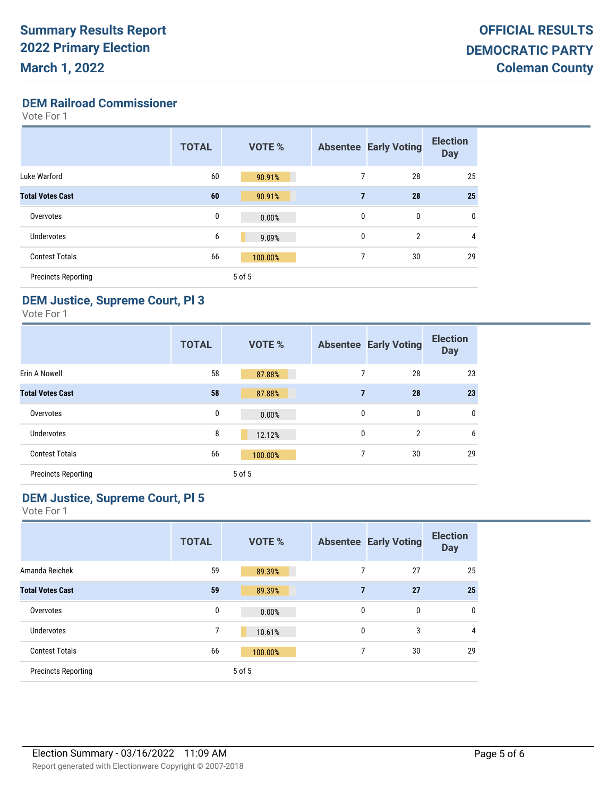**DEM Railroad Commissioner**

Vote For 1

|                            | <b>TOTAL</b> | <b>VOTE %</b> |              | <b>Absentee Early Voting</b> | <b>Election</b><br><b>Day</b> |
|----------------------------|--------------|---------------|--------------|------------------------------|-------------------------------|
| Luke Warford               | 60           | 90.91%        | 7            | 28                           | 25                            |
| <b>Total Votes Cast</b>    | 60           | 90.91%        | 7            | 28                           | 25                            |
| Overvotes                  | 0            | 0.00%         | $\mathbf{0}$ | 0                            | 0                             |
| <b>Undervotes</b>          | 6            | 9.09%         | $\mathbf{0}$ | $\overline{2}$               | 4                             |
| <b>Contest Totals</b>      | 66           | 100.00%       | 7            | 30                           | 29                            |
| <b>Precincts Reporting</b> |              | 5 of 5        |              |                              |                               |

#### **DEM Justice, Supreme Court, Pl 3**

Vote For 1

|                            | <b>TOTAL</b> | <b>VOTE %</b> |                | <b>Absentee Early Voting</b> | <b>Election</b><br><b>Day</b> |
|----------------------------|--------------|---------------|----------------|------------------------------|-------------------------------|
| Erin A Nowell              | 58           | 87.88%        | 7              | 28                           | 23                            |
| <b>Total Votes Cast</b>    | 58           | 87.88%        | $\overline{7}$ | 28                           | 23                            |
| Overvotes                  | 0            | 0.00%         | 0              | 0                            | $\mathbf{0}$                  |
| Undervotes                 | 8            | 12.12%        | 0              | $\overline{2}$               | 6                             |
| <b>Contest Totals</b>      | 66           | 100.00%       | 7              | 30                           | 29                            |
| <b>Precincts Reporting</b> |              | 5 of 5        |                |                              |                               |

# **DEM Justice, Supreme Court, Pl 5**

|                            | <b>TOTAL</b> | <b>VOTE %</b> |                | <b>Absentee Early Voting</b> | <b>Election</b><br><b>Day</b> |
|----------------------------|--------------|---------------|----------------|------------------------------|-------------------------------|
| Amanda Reichek             | 59           | 89.39%        | 7              | 27                           | 25                            |
| <b>Total Votes Cast</b>    | 59           | 89.39%        | $\overline{7}$ | 27                           | 25                            |
| Overvotes                  | 0            | 0.00%         | 0              | 0                            | 0                             |
| <b>Undervotes</b>          | 7            | 10.61%        | 0              | 3                            | 4                             |
| <b>Contest Totals</b>      | 66           | 100.00%       | 7              | 30                           | 29                            |
| <b>Precincts Reporting</b> |              | 5 of 5        |                |                              |                               |